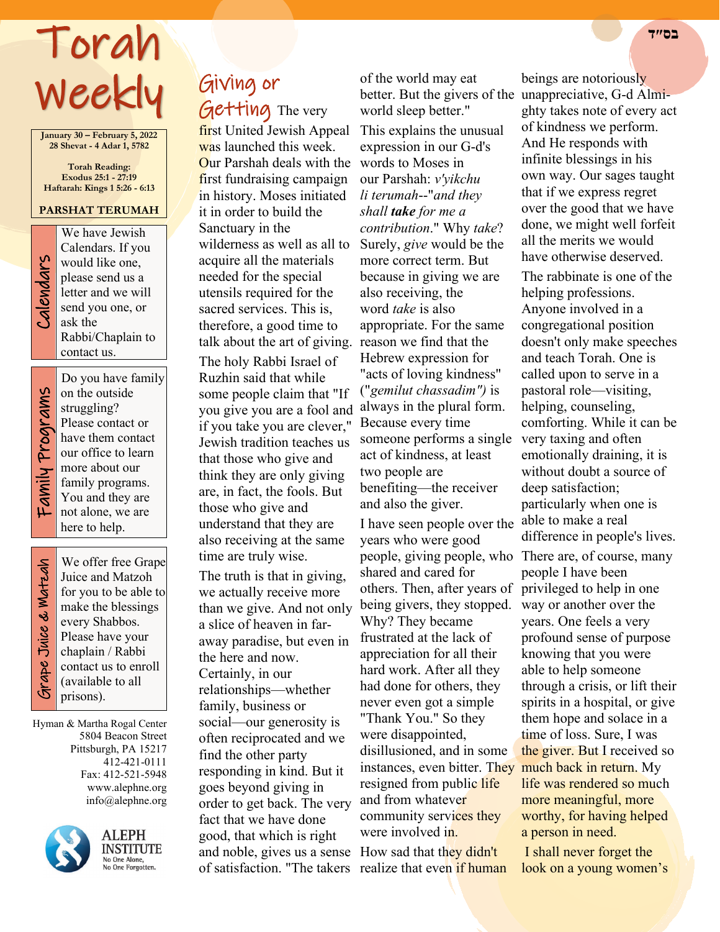# Torah **בס״ד**  Weekly

**January 30 – February 5, 2022 28 Shevat - 4 Adar 1, 5782**

**Torah Reading: Exodus 25:1 - 27:19 Haftarah: Kings 1 5:26 - 6:13**

#### **PARSHAT TERUMAH**

We have Jewish<br>Calendars. If you<br>would like one,<br>please send us a<br>letter and we will<br>send you one, or<br>ask the Calendars. If you would like one, please send us a letter and we will send you one, or ask the Rabbi/Chaplain to contact us.

Do you have family on the outside struggling? Please contact or have them contact our office to learn more about our family programs. You and they are not alone, we are here to help.

 Grape Juice & Matzah Grape Juice & Watzah

We offer free Grape Juice and Matzoh for you to be able to make the blessings every Shabbos. Please have your chaplain / Rabbi contact us to enroll (available to all prisons).

Hyman & Martha Rogal Center 5804 Beacon Street Pittsburgh, PA 15217 412-421-0111 Fax: 412-521-5948 www.alephne.org info@alephne.org



**ALEPH INSTITUTE** No One Alone,<br>No One Forgotten.

## Giving or Getting The very

first United Jewish Appeal was launched this week. Our Parshah deals with the words to Moses in first fundraising campaign in history. Moses initiated it in order to build the Sanctuary in the wilderness as well as all to acquire all the materials needed for the special utensils required for the sacred services. This is, therefore, a good time to talk about the art of giving. reason we find that the

The holy Rabbi Israel of Ruzhin said that while some people claim that "If you give you are a fool and always in the plural form. if you take you are clever," Jewish tradition teaches us that those who give and think they are only giving are, in fact, the fools. But those who give and understand that they are also receiving at the same time are truly wise.

The truth is that in giving, we actually receive more than we give. And not only a slice of heaven in faraway paradise, but even in the here and now. Certainly, in our relationships—whether family, business or social—our generosity is often reciprocated and we find the other party responding in kind. But it goes beyond giving in order to get back. The very fact that we have done good, that which is right and noble, gives us a sense How sad that they didn't of satisfaction. "The takers realize that even if human

of the world may eat world sleep better."

This explains the unusual expression in our G-d's our Parshah: *v'yikchu li terumah*--"*and they shall take for me a contribution*." Why *take*? Surely, *give* would be the more correct term. But because in giving we are also receiving, the word *take* is also appropriate. For the same Hebrew expression for "acts of loving kindness" ("*gemilut chassadim")* is Because every time someone performs a single act of kindness, at least two people are benefiting—the receiver and also the giver.

I have seen people over the years who were good people, giving people, who There are, of course, many shared and cared for others. Then, after years of privileged to help in one being givers, they stopped. Why? They became frustrated at the lack of appreciation for all their hard work. After all they had done for others, they never even got a simple "Thank You." So they were disappointed, disillusioned, and in some instances, even bitter. They resigned from public life and from whatever community services they were involved in.

better. But the givers of the unappreciative, G-d Almibeings are notoriously ghty takes note of every act of kindness we perform. And He responds with infinite blessings in his own way. Our sages taught that if we express regret over the good that we have done, we might well forfeit all the merits we would have otherwise deserved.

> The rabbinate is one of the helping professions. Anyone involved in a congregational position doesn't only make speeches and teach Torah. One is called upon to serve in a pastoral role—visiting, helping, counseling, comforting. While it can be very taxing and often emotionally draining, it is without doubt a source of deep satisfaction; particularly when one is able to make a real difference in people's lives. people I have been way or another over the years. One feels a very profound sense of purpose knowing that you were able to help someone through a crisis, or lift their spirits in a hospital, or give them hope and solace in a time of loss. Sure, I was

the giver. But I received so much back in return. My life was rendered so much more meaningful, more worthy, for having helped a person in need.

I shall never forget the look on a young women's